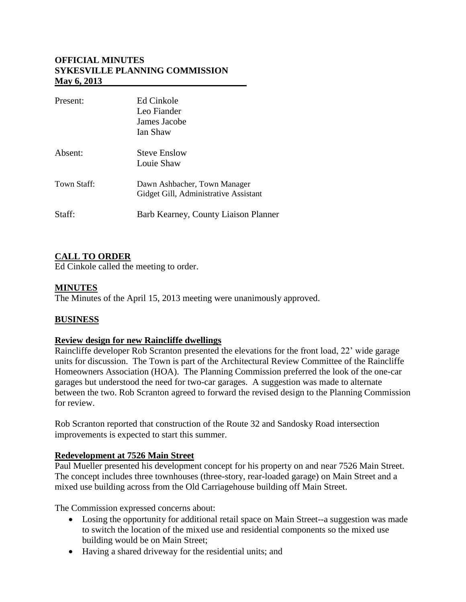## **OFFICIAL MINUTES SYKESVILLE PLANNING COMMISSION May 6, 2013**

| Present:    | Ed Cinkole<br>Leo Fiander<br>James Jacobe<br>Ian Shaw                 |
|-------------|-----------------------------------------------------------------------|
| Absent:     | <b>Steve Enslow</b><br>Louie Shaw                                     |
| Town Staff: | Dawn Ashbacher, Town Manager<br>Gidget Gill, Administrative Assistant |
| Staff:      | Barb Kearney, County Liaison Planner                                  |

## **CALL TO ORDER**

Ed Cinkole called the meeting to order.

## **MINUTES**

The Minutes of the April 15, 2013 meeting were unanimously approved.

## **BUSINESS**

#### **Review design for new Raincliffe dwellings**

Raincliffe developer Rob Scranton presented the elevations for the front load, 22' wide garage units for discussion. The Town is part of the Architectural Review Committee of the Raincliffe Homeowners Association (HOA). The Planning Commission preferred the look of the one-car garages but understood the need for two-car garages. A suggestion was made to alternate between the two. Rob Scranton agreed to forward the revised design to the Planning Commission for review.

Rob Scranton reported that construction of the Route 32 and Sandosky Road intersection improvements is expected to start this summer.

#### **Redevelopment at 7526 Main Street**

Paul Mueller presented his development concept for his property on and near 7526 Main Street. The concept includes three townhouses (three-story, rear-loaded garage) on Main Street and a mixed use building across from the Old Carriagehouse building off Main Street.

The Commission expressed concerns about:

- Losing the opportunity for additional retail space on Main Street--a suggestion was made to switch the location of the mixed use and residential components so the mixed use building would be on Main Street;
- Having a shared driveway for the residential units; and